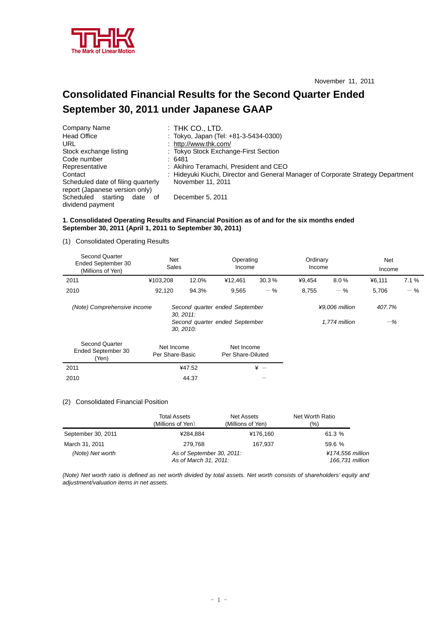

# **Consolidated Financial Results for the Second Quarter Ended September 30, 2011 under Japanese GAAP**

| Company Name                                                         | : THK CO., LTD.                                                                  |
|----------------------------------------------------------------------|----------------------------------------------------------------------------------|
| <b>Head Office</b>                                                   | : Tokyo, Japan (Tel: +81-3-5434-0300)                                            |
| URL                                                                  | : http://www.thk.com/                                                            |
| Stock exchange listing                                               | : Tokyo Stock Exchange-First Section                                             |
| Code number                                                          | :6481                                                                            |
| Representative                                                       | : Akihiro Teramachi, President and CEO                                           |
| Contact                                                              | : Hideyuki Kiuchi, Director and General Manager of Corporate Strategy Department |
| Scheduled date of filing quarterly<br>report (Japanese version only) | November 11, 2011                                                                |
| Scheduled<br>starting<br>date of                                     | December 5, 2011                                                                 |
| dividend payment                                                     |                                                                                  |

## **1. Consolidated Operating Results and Financial Position as of and for the six months ended September 30, 2011 (April 1, 2011 to September 30, 2011)**

(1) Consolidated Operating Results

| Second Quarter<br>Ended September 30<br>(Millions of Yen) | Net<br>Sales                  |       | Operating<br>Income                                              |       | Ordinary<br>Income |                                 | <b>Net</b><br>Income |       |
|-----------------------------------------------------------|-------------------------------|-------|------------------------------------------------------------------|-------|--------------------|---------------------------------|----------------------|-------|
| 2011                                                      | ¥103,208                      | 12.0% | ¥12,461                                                          | 30.3% | ¥9,454             | 8.0%                            | ¥6,111               | 7.1%  |
| 2010                                                      | 92,120                        | 94.3% | 9,565                                                            | $-$ % | 8,755              | $-$ %                           | 5,706                | $-$ % |
| (Note) Comprehensive income                               | $30, 2011$ :<br>30, 2010:     |       | Second quarter ended September<br>Second quarter ended September |       |                    | ¥9,006 million<br>1.774 million | 407.7%<br>$-\%$      |       |
| <b>Second Quarter</b><br>Ended September 30<br>(Yen)      | Net Income<br>Per Share-Basic |       | Net Income<br>Per Share-Diluted                                  |       |                    |                                 |                      |       |
| 2011                                                      | ¥47.52                        |       |                                                                  | $* -$ |                    |                                 |                      |       |
| 2010                                                      | 44.37                         |       |                                                                  |       |                    |                                 |                      |       |

#### (2) Consolidated Financial Position

|                    | Total Assets<br>(Millions of Yen)                  | Net Assets<br>(Millions of Yen) | Net Worth Ratio<br>(%)              |
|--------------------|----------------------------------------------------|---------------------------------|-------------------------------------|
| September 30, 2011 | ¥284.884                                           | ¥176,160                        | 61.3 %                              |
| March 31, 2011     | 279.768                                            | 167.937                         | 59.6 %                              |
| (Note) Net worth   | As of September 30, 2011:<br>As of March 31, 2011: |                                 | ¥174,556 million<br>166,731 million |

*(Note) Net worth ratio is defined as net worth divided by total assets. Net worth consists of shareholders' equity and adjustment/valuation items in net assets.*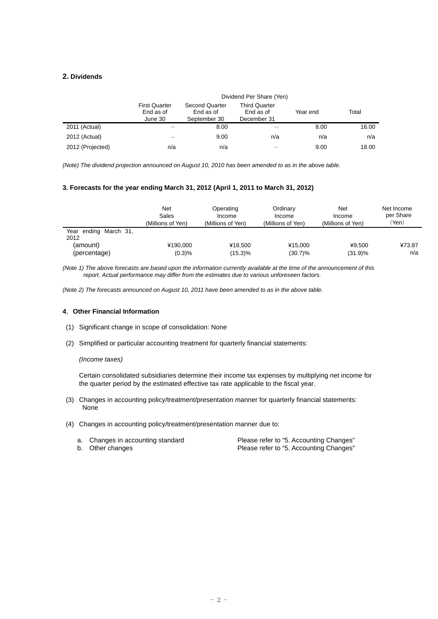## **2. Dividends**

|                  |                                              |                                                    | Dividend Per Share (Yen)                         |          |       |
|------------------|----------------------------------------------|----------------------------------------------------|--------------------------------------------------|----------|-------|
|                  | <b>First Quarter</b><br>End as of<br>June 30 | <b>Second Quarter</b><br>End as of<br>September 30 | <b>Third Quarter</b><br>End as of<br>December 31 | Year end | Total |
| 2011 (Actual)    |                                              | 8.00                                               |                                                  | 8.00     | 16.00 |
| 2012 (Actual)    |                                              | 9.00                                               | n/a                                              | n/a      | n/a   |
| 2012 (Projected) | n/a                                          | n/a                                                |                                                  | 9.00     | 18.00 |

*(Note) The dividend projection announced on August 10, 2010 has been amended to as in the above table.* 

### **3. Forecasts for the year ending March 31, 2012 (April 1, 2011 to March 31, 2012)**

|                               | Net<br>Sales<br>(Millions of Yen) | Operating<br>Income<br>(Millions of Yen) | Ordinary<br>Income<br>(Millions of Yen) | Net<br>Income<br>(Millions of Yen) | Net Income<br>per Share<br>′Yen) |
|-------------------------------|-----------------------------------|------------------------------------------|-----------------------------------------|------------------------------------|----------------------------------|
| Year ending March 31,<br>2012 |                                   |                                          |                                         |                                    |                                  |
| (amount)                      | ¥190,000                          | ¥18.500                                  | ¥15.000                                 | ¥9.500                             | ¥73.87                           |
| (percentage)                  | (0.3)%                            | $(15.3)\%$                               | $(30.7)\%$                              | (31.9)%                            | n/a                              |

*(Note 1) The above forecasts are based upon the information currently available at the time of the announcement of this report. Actual performance may differ from the estimates due to various unforeseen factors.* 

*(Note 2) The forecasts announced on August 10, 2011 have been amended to as in the above table.* 

## **4**.**Other Financial Information**

- (1) Significant change in scope of consolidation: None
- (2) Simplified or particular accounting treatment for quarterly financial statements:

### *(Income taxes)*

Certain consolidated subsidiaries determine their income tax expenses by multiplying net income for the quarter period by the estimated effective tax rate applicable to the fiscal year.

- (3) Changes in accounting policy/treatment/presentation manner for quarterly financial statements: None
- (4) Changes in accounting policy/treatment/presentation manner due to:

| a. Changes in accounting standard | Please refer to "5. Accounting Changes" |
|-----------------------------------|-----------------------------------------|
| b. Other changes                  | Please refer to "5. Accounting Changes" |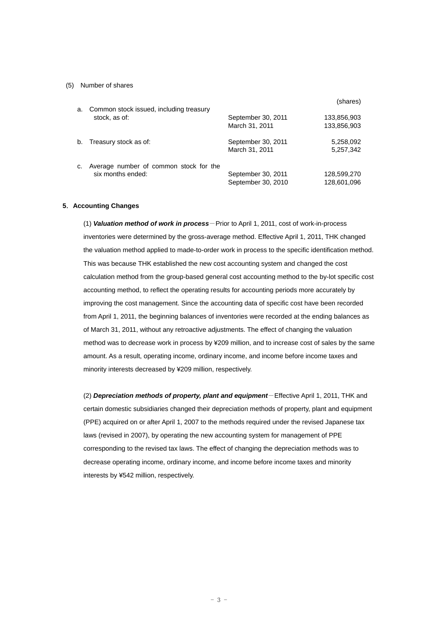### (5) Number of shares

| a. | Common stock issued, including treasury                     |                                          | (shares)                   |
|----|-------------------------------------------------------------|------------------------------------------|----------------------------|
|    | stock, as of:                                               | September 30, 2011<br>March 31, 2011     | 133,856,903<br>133,856,903 |
| b. | Treasury stock as of:                                       | September 30, 2011<br>March 31, 2011     | 5,258,092<br>5,257,342     |
| C. | Average number of common stock for the<br>six months ended: | September 30, 2011<br>September 30, 2010 | 128,599,270<br>128,601,096 |

## **5**.**Accounting Changes**

(1) *Valuation method of work in process*-Prior to April 1, 2011, cost of work-in-process inventories were determined by the gross-average method. Effective April 1, 2011, THK changed the valuation method applied to made-to-order work in process to the specific identification method. This was because THK established the new cost accounting system and changed the cost calculation method from the group-based general cost accounting method to the by-lot specific cost accounting method, to reflect the operating results for accounting periods more accurately by improving the cost management. Since the accounting data of specific cost have been recorded from April 1, 2011, the beginning balances of inventories were recorded at the ending balances as of March 31, 2011, without any retroactive adjustments. The effect of changing the valuation method was to decrease work in process by ¥209 million, and to increase cost of sales by the same amount. As a result, operating income, ordinary income, and income before income taxes and minority interests decreased by ¥209 million, respectively.

(2) *Depreciation methods of property, plant and equipment*-Effective April 1, 2011, THK and certain domestic subsidiaries changed their depreciation methods of property, plant and equipment (PPE) acquired on or after April 1, 2007 to the methods required under the revised Japanese tax laws (revised in 2007), by operating the new accounting system for management of PPE corresponding to the revised tax laws. The effect of changing the depreciation methods was to decrease operating income, ordinary income, and income before income taxes and minority interests by ¥542 million, respectively.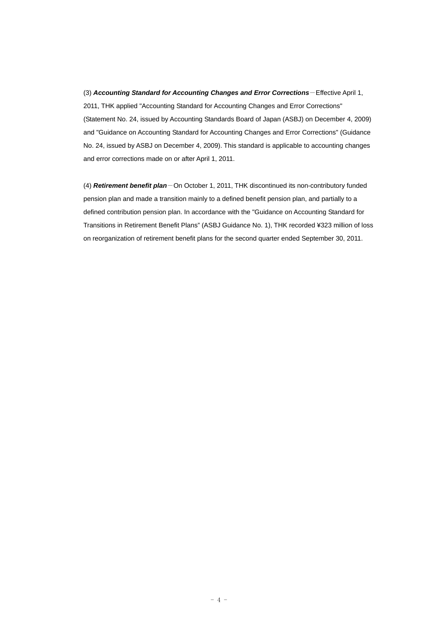(3) *Accounting Standard for Accounting Changes and Error Corrections*-Effective April 1, 2011, THK applied "Accounting Standard for Accounting Changes and Error Corrections" (Statement No. 24, issued by Accounting Standards Board of Japan (ASBJ) on December 4, 2009) and "Guidance on Accounting Standard for Accounting Changes and Error Corrections" (Guidance No. 24, issued by ASBJ on December 4, 2009). This standard is applicable to accounting changes and error corrections made on or after April 1, 2011.

(4) *Retirement benefit plan*-On October 1, 2011, THK discontinued its non-contributory funded pension plan and made a transition mainly to a defined benefit pension plan, and partially to a defined contribution pension plan. In accordance with the "Guidance on Accounting Standard for Transitions in Retirement Benefit Plans" (ASBJ Guidance No. 1), THK recorded ¥323 million of loss on reorganization of retirement benefit plans for the second quarter ended September 30, 2011.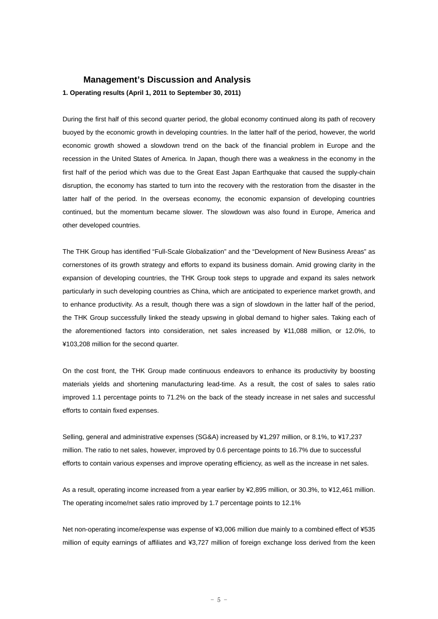## **Management's Discussion and Analysis**

**1. Operating results (April 1, 2011 to September 30, 2011)** 

During the first half of this second quarter period, the global economy continued along its path of recovery buoyed by the economic growth in developing countries. In the latter half of the period, however, the world economic growth showed a slowdown trend on the back of the financial problem in Europe and the recession in the United States of America. In Japan, though there was a weakness in the economy in the first half of the period which was due to the Great East Japan Earthquake that caused the supply-chain disruption, the economy has started to turn into the recovery with the restoration from the disaster in the latter half of the period. In the overseas economy, the economic expansion of developing countries continued, but the momentum became slower. The slowdown was also found in Europe, America and other developed countries.

The THK Group has identified "Full-Scale Globalization" and the "Development of New Business Areas" as cornerstones of its growth strategy and efforts to expand its business domain. Amid growing clarity in the expansion of developing countries, the THK Group took steps to upgrade and expand its sales network particularly in such developing countries as China, which are anticipated to experience market growth, and to enhance productivity. As a result, though there was a sign of slowdown in the latter half of the period, the THK Group successfully linked the steady upswing in global demand to higher sales. Taking each of the aforementioned factors into consideration, net sales increased by ¥11,088 million, or 12.0%, to ¥103,208 million for the second quarter.

On the cost front, the THK Group made continuous endeavors to enhance its productivity by boosting materials yields and shortening manufacturing lead-time. As a result, the cost of sales to sales ratio improved 1.1 percentage points to 71.2% on the back of the steady increase in net sales and successful efforts to contain fixed expenses.

Selling, general and administrative expenses (SG&A) increased by ¥1,297 million, or 8.1%, to ¥17,237 million. The ratio to net sales, however, improved by 0.6 percentage points to 16.7% due to successful efforts to contain various expenses and improve operating efficiency, as well as the increase in net sales.

As a result, operating income increased from a year earlier by ¥2,895 million, or 30.3%, to ¥12,461 million. The operating income/net sales ratio improved by 1.7 percentage points to 12.1%

Net non-operating income/expense was expense of ¥3,006 million due mainly to a combined effect of ¥535 million of equity earnings of affiliates and ¥3,727 million of foreign exchange loss derived from the keen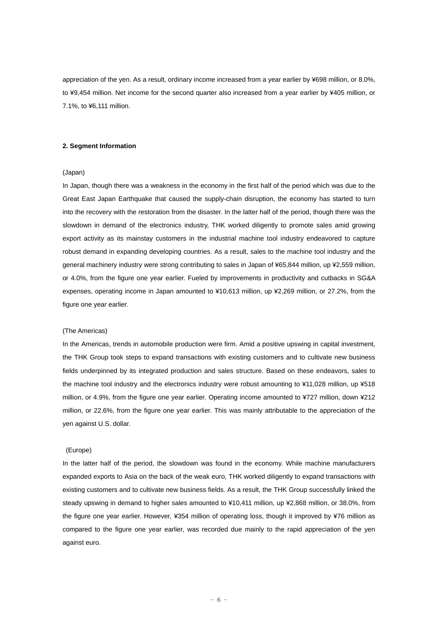appreciation of the yen. As a result, ordinary income increased from a year earlier by ¥698 million, or 8.0%, to ¥9,454 million. Net income for the second quarter also increased from a year earlier by ¥405 million, or 7.1%, to ¥6,111 million.

#### **2. Segment Information**

## (Japan)

In Japan, though there was a weakness in the economy in the first half of the period which was due to the Great East Japan Earthquake that caused the supply-chain disruption, the economy has started to turn into the recovery with the restoration from the disaster. In the latter half of the period, though there was the slowdown in demand of the electronics industry, THK worked diligently to promote sales amid growing export activity as its mainstay customers in the industrial machine tool industry endeavored to capture robust demand in expanding developing countries. As a result, sales to the machine tool industry and the general machinery industry were strong contributing to sales in Japan of ¥65,844 million, up ¥2,559 million, or 4.0%, from the figure one year earlier. Fueled by improvements in productivity and cutbacks in SG&A expenses, operating income in Japan amounted to ¥10,613 million, up ¥2,269 million, or 27.2%, from the figure one year earlier.

#### (The Americas)

In the Americas, trends in automobile production were firm. Amid a positive upswing in capital investment, the THK Group took steps to expand transactions with existing customers and to cultivate new business fields underpinned by its integrated production and sales structure. Based on these endeavors, sales to the machine tool industry and the electronics industry were robust amounting to ¥11,028 million, up ¥518 million, or 4.9%, from the figure one year earlier. Operating income amounted to ¥727 million, down ¥212 million, or 22.6%, from the figure one year earlier. This was mainly attributable to the appreciation of the yen against U.S. dollar.

#### (Europe)

In the latter half of the period, the slowdown was found in the economy. While machine manufacturers expanded exports to Asia on the back of the weak euro, THK worked diligently to expand transactions with existing customers and to cultivate new business fields. As a result, the THK Group successfully linked the steady upswing in demand to higher sales amounted to ¥10,411 million, up ¥2,868 million, or 38.0%, from the figure one year earlier. However, ¥354 million of operating loss, though it improved by ¥76 million as compared to the figure one year earlier, was recorded due mainly to the rapid appreciation of the yen against euro.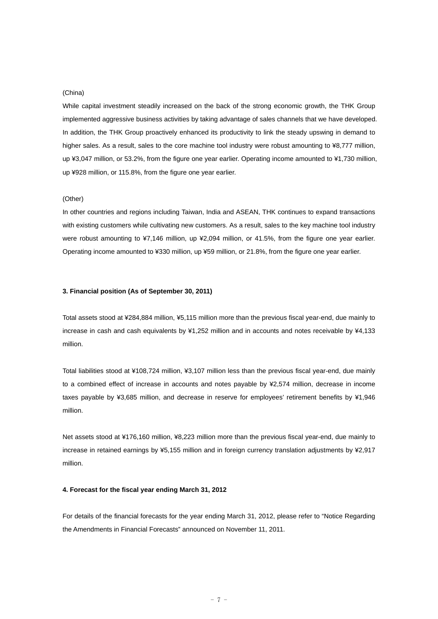### (China)

While capital investment steadily increased on the back of the strong economic growth, the THK Group implemented aggressive business activities by taking advantage of sales channels that we have developed. In addition, the THK Group proactively enhanced its productivity to link the steady upswing in demand to higher sales. As a result, sales to the core machine tool industry were robust amounting to ¥8,777 million, up ¥3,047 million, or 53.2%, from the figure one year earlier. Operating income amounted to ¥1,730 million, up ¥928 million, or 115.8%, from the figure one year earlier.

#### (Other)

In other countries and regions including Taiwan, India and ASEAN, THK continues to expand transactions with existing customers while cultivating new customers. As a result, sales to the key machine tool industry were robust amounting to ¥7,146 million, up ¥2,094 million, or 41.5%, from the figure one year earlier. Operating income amounted to ¥330 million, up ¥59 million, or 21.8%, from the figure one year earlier.

#### **3. Financial position (As of September 30, 2011)**

Total assets stood at ¥284,884 million, ¥5,115 million more than the previous fiscal year-end, due mainly to increase in cash and cash equivalents by ¥1,252 million and in accounts and notes receivable by ¥4,133 million.

Total liabilities stood at ¥108,724 million, ¥3,107 million less than the previous fiscal year-end, due mainly to a combined effect of increase in accounts and notes payable by ¥2,574 million, decrease in income taxes payable by ¥3,685 million, and decrease in reserve for employees' retirement benefits by ¥1,946 million.

Net assets stood at ¥176,160 million, ¥8,223 million more than the previous fiscal year-end, due mainly to increase in retained earnings by ¥5,155 million and in foreign currency translation adjustments by ¥2,917 million.

#### **4. Forecast for the fiscal year ending March 31, 2012**

For details of the financial forecasts for the year ending March 31, 2012, please refer to "Notice Regarding the Amendments in Financial Forecasts" announced on November 11, 2011.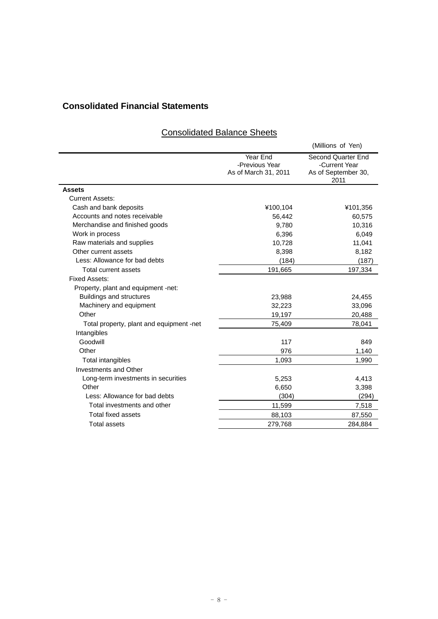## **Consolidated Financial Statements**

|                                          |                                                    | (Millions of Yen)                                                         |
|------------------------------------------|----------------------------------------------------|---------------------------------------------------------------------------|
|                                          | Year End<br>-Previous Year<br>As of March 31, 2011 | <b>Second Quarter End</b><br>-Current Year<br>As of September 30,<br>2011 |
| <b>Assets</b>                            |                                                    |                                                                           |
| <b>Current Assets:</b>                   |                                                    |                                                                           |
| Cash and bank deposits                   | ¥100,104                                           | ¥101,356                                                                  |
| Accounts and notes receivable            | 56,442                                             | 60,575                                                                    |
| Merchandise and finished goods           | 9,780                                              | 10,316                                                                    |
| Work in process                          | 6,396                                              | 6,049                                                                     |
| Raw materials and supplies               | 10,728                                             | 11,041                                                                    |
| Other current assets                     | 8,398                                              | 8,182                                                                     |
| Less: Allowance for bad debts            | (184)                                              | (187)                                                                     |
| Total current assets                     | 191,665                                            | 197,334                                                                   |
| <b>Fixed Assets:</b>                     |                                                    |                                                                           |
| Property, plant and equipment -net:      |                                                    |                                                                           |
| <b>Buildings and structures</b>          | 23,988                                             | 24,455                                                                    |
| Machinery and equipment                  | 32,223                                             | 33,096                                                                    |
| Other                                    | 19,197                                             | 20,488                                                                    |
| Total property, plant and equipment -net | 75,409                                             | 78,041                                                                    |
| Intangibles                              |                                                    |                                                                           |
| Goodwill                                 | 117                                                | 849                                                                       |
| Other                                    | 976                                                | 1,140                                                                     |
| Total intangibles                        | 1,093                                              | 1,990                                                                     |
| Investments and Other                    |                                                    |                                                                           |
| Long-term investments in securities      | 5,253                                              | 4,413                                                                     |
| Other                                    | 6,650                                              | 3,398                                                                     |
| Less: Allowance for bad debts            | (304)                                              | (294)                                                                     |
| Total investments and other              | 11,599                                             | 7,518                                                                     |
| Total fixed assets                       | 88,103                                             | 87,550                                                                    |
| Total assets                             | 279.768                                            | 284.884                                                                   |

## Consolidated Balance Sheets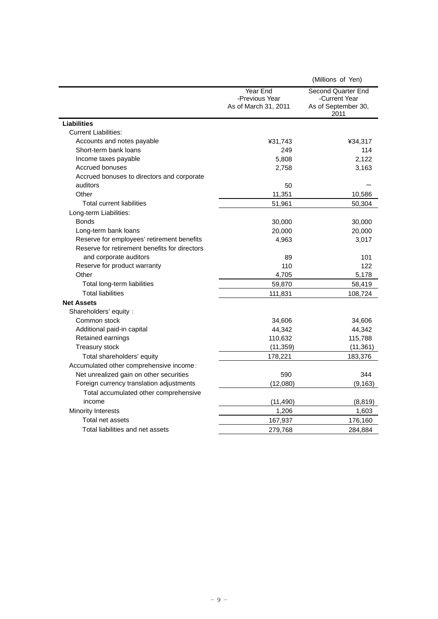|                                               |                                                    | (Millions of Yen)                                                  |
|-----------------------------------------------|----------------------------------------------------|--------------------------------------------------------------------|
|                                               | Year End<br>-Previous Year<br>As of March 31, 2011 | Second Quarter End<br>-Current Year<br>As of September 30,<br>2011 |
| <b>Liabilities</b>                            |                                                    |                                                                    |
| <b>Current Liabilities:</b>                   |                                                    |                                                                    |
| Accounts and notes payable                    | ¥31,743                                            | ¥34,317                                                            |
| Short-term bank loans                         | 249                                                | 114                                                                |
| Income taxes payable                          | 5,808                                              | 2,122                                                              |
| Accrued bonuses                               | 2,758                                              | 3,163                                                              |
| Accrued bonuses to directors and corporate    |                                                    |                                                                    |
| auditors                                      | 50                                                 |                                                                    |
| Other                                         | 11,351                                             | 10,586                                                             |
| <b>Total current liabilities</b>              | 51,961                                             | 50,304                                                             |
| Long-term Liabilities:                        |                                                    |                                                                    |
| <b>Bonds</b>                                  | 30,000                                             | 30,000                                                             |
| Long-term bank loans                          | 20,000                                             | 20,000                                                             |
| Reserve for employees' retirement benefits    | 4,963                                              | 3,017                                                              |
| Reserve for retirement benefits for directors |                                                    |                                                                    |
| and corporate auditors                        | 89                                                 | 101                                                                |
| Reserve for product warranty                  | 110                                                | 122                                                                |
| Other                                         | 4,705                                              | 5,178                                                              |
| Total long-term liabilities                   | 59,870                                             | 58,419                                                             |
| <b>Total liabilities</b>                      | 111,831                                            | 108,724                                                            |
| <b>Net Assets</b>                             |                                                    |                                                                    |
| Shareholders' equity :                        |                                                    |                                                                    |
| Common stock                                  | 34,606                                             | 34,606                                                             |
| Additional paid-in capital                    | 44,342                                             | 44,342                                                             |
| Retained earnings                             | 110,632                                            | 115,788                                                            |
| <b>Treasury stock</b>                         | (11, 359)                                          | (11, 361)                                                          |
| Total shareholders' equity                    | 178,221                                            | 183,376                                                            |
| Accumulated other comprehensive income:       |                                                    |                                                                    |
| Net unrealized gain on other securities       | 590                                                | 344                                                                |
| Foreign currency translation adjustments      | (12,080)                                           | (9, 163)                                                           |
| Total accumulated other comprehensive         |                                                    |                                                                    |
| income                                        | (11, 490)                                          | (8, 819)                                                           |
| <b>Minority Interests</b>                     | 1,206                                              | 1,603                                                              |
| Total net assets                              | 167,937                                            | 176,160                                                            |
| Total liabilities and net assets              | 279,768                                            | 284,884                                                            |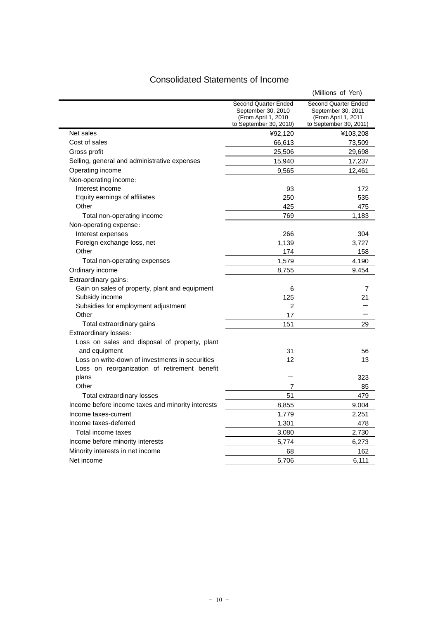# Consolidated Statements of Income

|                                                   |                                                                                             | (Millions of Yen)                                                                                  |
|---------------------------------------------------|---------------------------------------------------------------------------------------------|----------------------------------------------------------------------------------------------------|
|                                                   | Second Quarter Ended<br>September 30, 2010<br>(From April 1, 2010<br>to September 30, 2010) | <b>Second Quarter Ended</b><br>September 30, 2011<br>(From April 1, 2011<br>to September 30, 2011) |
| Net sales                                         | ¥92,120                                                                                     | ¥103,208                                                                                           |
| Cost of sales                                     | 66,613                                                                                      | 73,509                                                                                             |
| Gross profit                                      | 25,506                                                                                      | 29,698                                                                                             |
| Selling, general and administrative expenses      | 15,940                                                                                      | 17,237                                                                                             |
| Operating income                                  | 9,565                                                                                       | 12,461                                                                                             |
| Non-operating income:                             |                                                                                             |                                                                                                    |
| Interest income                                   | 93                                                                                          | 172                                                                                                |
| Equity earnings of affiliates                     | 250                                                                                         | 535                                                                                                |
| Other                                             | 425                                                                                         | 475                                                                                                |
| Total non-operating income                        | 769                                                                                         | 1,183                                                                                              |
| Non-operating expense:                            |                                                                                             |                                                                                                    |
| Interest expenses                                 | 266                                                                                         | 304                                                                                                |
| Foreign exchange loss, net                        | 1,139                                                                                       | 3,727                                                                                              |
| Other                                             | 174                                                                                         | 158                                                                                                |
| Total non-operating expenses                      | 1,579                                                                                       | 4,190                                                                                              |
| Ordinary income                                   | 8,755                                                                                       | 9.454                                                                                              |
| Extraordinary gains:                              |                                                                                             |                                                                                                    |
| Gain on sales of property, plant and equipment    | 6                                                                                           | 7                                                                                                  |
| Subsidy income                                    | 125                                                                                         | 21                                                                                                 |
| Subsidies for employment adjustment               | 2                                                                                           |                                                                                                    |
| Other                                             | 17                                                                                          |                                                                                                    |
| Total extraordinary gains                         | 151                                                                                         | 29                                                                                                 |
| Extraordinary losses:                             |                                                                                             |                                                                                                    |
| Loss on sales and disposal of property, plant     |                                                                                             |                                                                                                    |
| and equipment                                     | 31                                                                                          | 56                                                                                                 |
| Loss on write-down of investments in securities   | 12                                                                                          | 13                                                                                                 |
| Loss on reorganization of retirement benefit      |                                                                                             |                                                                                                    |
| plans                                             |                                                                                             | 323                                                                                                |
| Other                                             | 7                                                                                           | 85                                                                                                 |
| Total extraordinary losses                        | 51                                                                                          | 479                                                                                                |
| Income before income taxes and minority interests | 8,855                                                                                       | 9,004                                                                                              |
| Income taxes-current                              | 1,779                                                                                       | 2,251                                                                                              |
| Income taxes-deferred                             | 1,301                                                                                       | 478                                                                                                |
| Total income taxes                                | 3,080                                                                                       | 2,730                                                                                              |
| Income before minority interests                  | 5,774                                                                                       | 6,273                                                                                              |
| Minority interests in net income                  | 68                                                                                          | 162                                                                                                |
| Net income                                        | 5.706                                                                                       | 6.111                                                                                              |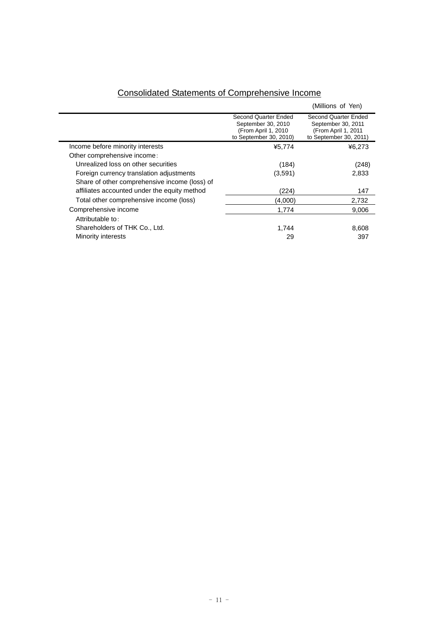|                                               |                                                                                              | (Millions of Yen)                                                                           |
|-----------------------------------------------|----------------------------------------------------------------------------------------------|---------------------------------------------------------------------------------------------|
|                                               | Second Quarter Ended<br>September 30, 2010<br>(From April 1, 2010)<br>to September 30, 2010) | Second Quarter Ended<br>September 30, 2011<br>(From April 1, 2011<br>to September 30, 2011) |
| Income before minority interests              | ¥5,774                                                                                       | ¥6,273                                                                                      |
| Other comprehensive income:                   |                                                                                              |                                                                                             |
| Unrealized loss on other securities           | (184)                                                                                        | (248)                                                                                       |
| Foreign currency translation adjustments      | (3,591)                                                                                      | 2,833                                                                                       |
| Share of other comprehensive income (loss) of |                                                                                              |                                                                                             |
| affiliates accounted under the equity method  | (224)                                                                                        | 147                                                                                         |
| Total other comprehensive income (loss)       | (4.000)                                                                                      | 2,732                                                                                       |
| Comprehensive income                          | 1,774                                                                                        | 9,006                                                                                       |
| Attributable to:                              |                                                                                              |                                                                                             |
| Shareholders of THK Co., Ltd.                 | 1,744                                                                                        | 8,608                                                                                       |
| Minority interests                            | 29                                                                                           | 397                                                                                         |

## Consolidated Statements of Comprehensive Income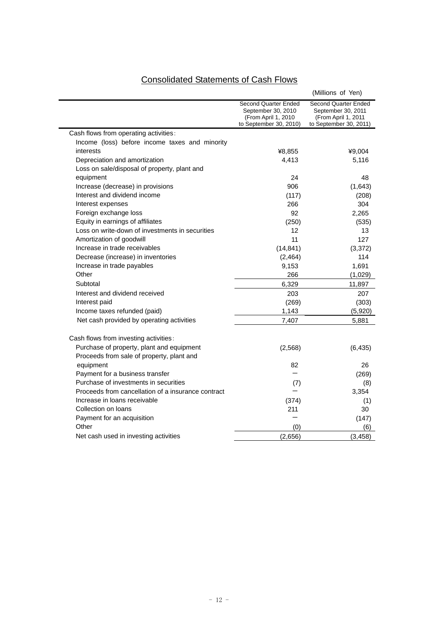# Consolidated Statements of Cash Flows

|                                                    |                                                                                             | (Millions of Yen)                                                                           |
|----------------------------------------------------|---------------------------------------------------------------------------------------------|---------------------------------------------------------------------------------------------|
|                                                    | Second Quarter Ended<br>September 30, 2010<br>(From April 1, 2010<br>to September 30, 2010) | Second Quarter Ended<br>September 30, 2011<br>(From April 1, 2011<br>to September 30, 2011) |
| Cash flows from operating activities:              |                                                                                             |                                                                                             |
| Income (loss) before income taxes and minority     |                                                                                             |                                                                                             |
| interests                                          | ¥8,855                                                                                      | ¥9,004                                                                                      |
| Depreciation and amortization                      | 4,413                                                                                       | 5,116                                                                                       |
| Loss on sale/disposal of property, plant and       |                                                                                             |                                                                                             |
| equipment                                          | 24                                                                                          | 48                                                                                          |
| Increase (decrease) in provisions                  | 906                                                                                         | (1,643)                                                                                     |
| Interest and dividend income                       | (117)                                                                                       | (208)                                                                                       |
| Interest expenses                                  | 266                                                                                         | 304                                                                                         |
| Foreign exchange loss                              | 92                                                                                          | 2,265                                                                                       |
| Equity in earnings of affiliates                   | (250)                                                                                       | (535)                                                                                       |
| Loss on write-down of investments in securities    | 12                                                                                          | 13                                                                                          |
| Amortization of goodwill                           | 11                                                                                          | 127                                                                                         |
| Increase in trade receivables                      | (14, 841)                                                                                   | (3,372)                                                                                     |
| Decrease (increase) in inventories                 | (2, 464)                                                                                    | 114                                                                                         |
| Increase in trade payables                         | 9,153                                                                                       | 1,691                                                                                       |
| Other                                              | 266                                                                                         | (1,029)                                                                                     |
| Subtotal                                           | 6,329                                                                                       | 11,897                                                                                      |
| Interest and dividend received                     | 203                                                                                         | 207                                                                                         |
| Interest paid                                      | (269)                                                                                       | (303)                                                                                       |
| Income taxes refunded (paid)                       | 1,143                                                                                       | (5,920)                                                                                     |
| Net cash provided by operating activities          | 7,407                                                                                       | 5,881                                                                                       |
| Cash flows from investing activities:              |                                                                                             |                                                                                             |
| Purchase of property, plant and equipment          | (2, 568)                                                                                    | (6, 435)                                                                                    |
| Proceeds from sale of property, plant and          |                                                                                             |                                                                                             |
| equipment                                          | 82                                                                                          | 26                                                                                          |
| Payment for a business transfer                    |                                                                                             | (269)                                                                                       |
| Purchase of investments in securities              | (7)                                                                                         | (8)                                                                                         |
| Proceeds from cancellation of a insurance contract |                                                                                             | 3,354                                                                                       |
| Increase in loans receivable                       | (374)                                                                                       | (1)                                                                                         |
| Collection on loans                                | 211                                                                                         | 30                                                                                          |
| Payment for an acquisition                         |                                                                                             | (147)                                                                                       |
| Other                                              | (0)                                                                                         | (6)                                                                                         |
| Net cash used in investing activities              | (2,656)                                                                                     | (3, 458)                                                                                    |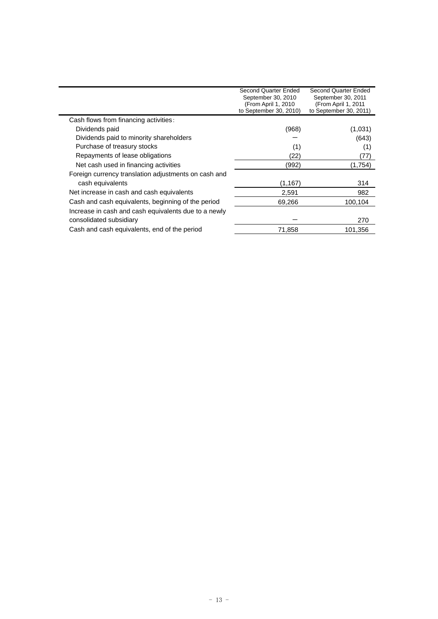|                                                      | Second Quarter Ended<br>September 30, 2010<br>(From April 1, 2010)<br>to September 30, 2010) | Second Quarter Ended<br>September 30, 2011<br>(From April 1, 2011<br>to September 30, 2011) |
|------------------------------------------------------|----------------------------------------------------------------------------------------------|---------------------------------------------------------------------------------------------|
| Cash flows from financing activities:                |                                                                                              |                                                                                             |
| Dividends paid                                       | (968)                                                                                        | (1,031)                                                                                     |
| Dividends paid to minority shareholders              |                                                                                              | (643)                                                                                       |
| Purchase of treasury stocks                          | (1)                                                                                          | (1)                                                                                         |
| Repayments of lease obligations                      | (22)                                                                                         | (77)                                                                                        |
| Net cash used in financing activities                | (992)                                                                                        | (1,754)                                                                                     |
| Foreign currency translation adjustments on cash and |                                                                                              |                                                                                             |
| cash equivalents                                     | (1, 167)                                                                                     | 314                                                                                         |
| Net increase in cash and cash equivalents            | 2,591                                                                                        | 982                                                                                         |
| Cash and cash equivalents, beginning of the period   | 69,266                                                                                       | 100,104                                                                                     |
| Increase in cash and cash equivalents due to a newly |                                                                                              |                                                                                             |
| consolidated subsidiary                              |                                                                                              | 270                                                                                         |
| Cash and cash equivalents, end of the period         | 71,858                                                                                       | 101,356                                                                                     |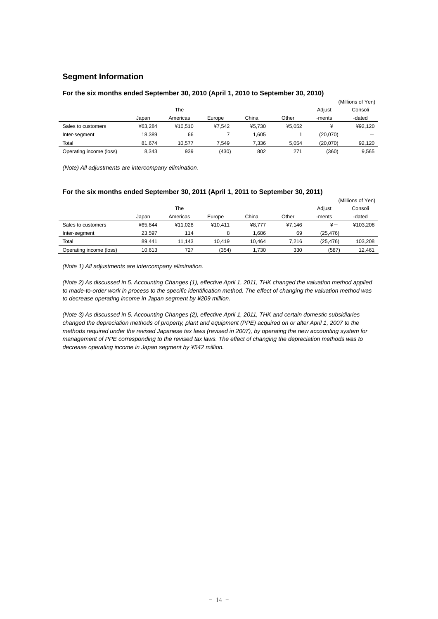## **Segment Information**

|                         |         |          |        |        |        |          | (Millions of Yen) |
|-------------------------|---------|----------|--------|--------|--------|----------|-------------------|
|                         |         | The      |        |        |        | Adjust   | Consoli           |
|                         | Japan   | Americas | Europe | China  | Other  | -ments   | -dated            |
| Sales to customers      | ¥63.284 | ¥10.510  | ¥7.542 | ¥5.730 | ¥5.052 | ¥-       | ¥92.120           |
| Inter-segment           | 18.389  | 66       |        | 1,605  |        | (20,070) |                   |
| Total                   | 81.674  | 10.577   | 7.549  | 7.336  | 5.054  | (20.070) | 92.120            |
| Operating income (loss) | 8.343   | 939      | (430)  | 802    | 271    | (360)    | 9.565             |

### **For the six months ended September 30, 2010 (April 1, 2010 to September 30, 2010)**

*(Note) All adjustments are intercompany elimination.* 

## **For the six months ended September 30, 2011 (April 1, 2011 to September 30, 2011)**

|                         |         |          |         |        |        | (Millions of Yen) |          |
|-------------------------|---------|----------|---------|--------|--------|-------------------|----------|
|                         |         | The      |         |        |        | Adjust            | Consoli  |
|                         | Japan   | Americas | Europe  | China  | Other  | -ments            | -dated   |
| Sales to customers      | ¥65.844 | ¥11.028  | ¥10.411 | ¥8.777 | ¥7.146 | $\frac{1}{2}$     | ¥103.208 |
| Inter-segment           | 23.597  | 114      | 8       | 1.686  | 69     | (25, 476)         |          |
| Total                   | 89.441  | 11.143   | 10.419  | 10.464 | 7.216  | (25.476)          | 103.208  |
| Operating income (loss) | 10.613  | 727      | (354)   | 1.730  | 330    | (587)             | 12.461   |

*(Note 1) All adjustments are intercompany elimination.* 

*(Note 2) As discussed in 5. Accounting Changes (1), effective April 1, 2011, THK changed the valuation method applied to made-to-order work in process to the specific identification method. The effect of changing the valuation method was to decrease operating income in Japan segment by ¥209 million.* 

*(Note 3) As discussed in 5. Accounting Changes (2), effective April 1, 2011, THK and certain domestic subsidiaries changed the depreciation methods of property, plant and equipment (PPE) acquired on or after April 1, 2007 to the methods required under the revised Japanese tax laws (revised in 2007), by operating the new accounting system for management of PPE corresponding to the revised tax laws. The effect of changing the depreciation methods was to decrease operating income in Japan segment by ¥542 million.*